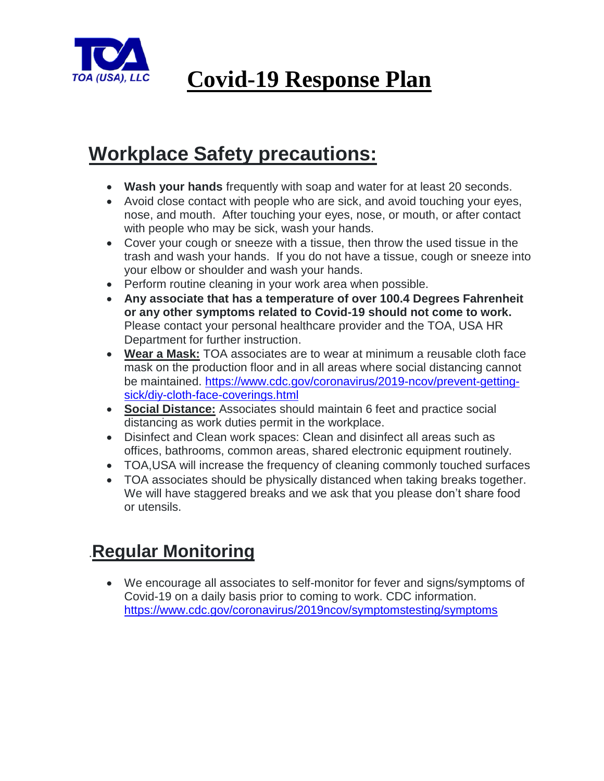

## **Workplace Safety precautions:**

- **Wash your hands** frequently with soap and water for at least 20 seconds.
- Avoid close contact with people who are sick, and avoid touching your eyes, nose, and mouth. After touching your eyes, nose, or mouth, or after contact with people who may be sick, wash your hands.
- Cover your cough or sneeze with a tissue, then throw the used tissue in the trash and wash your hands. If you do not have a tissue, cough or sneeze into your elbow or shoulder and wash your hands.
- Perform routine cleaning in your work area when possible.
- **Any associate that has a temperature of over 100.4 Degrees Fahrenheit or any other symptoms related to Covid-19 should not come to work.**  Please contact your personal healthcare provider and the TOA, USA HR Department for further instruction.
- **Wear a Mask:** TOA associates are to wear at minimum a reusable cloth face mask on the production floor and in all areas where social distancing cannot be maintained. [https://www.cdc.gov/coronavirus/2019-ncov/prevent-getting](https://www.cdc.gov/coronavirus/2019-ncov/prevent-getting-sick/diy-cloth-face-coverings.html)[sick/diy-cloth-face-coverings.html](https://www.cdc.gov/coronavirus/2019-ncov/prevent-getting-sick/diy-cloth-face-coverings.html)
- **Social Distance:** Associates should maintain 6 feet and practice social distancing as work duties permit in the workplace.
- Disinfect and Clean work spaces: Clean and disinfect all areas such as offices, bathrooms, common areas, shared electronic equipment routinely.
- TOA,USA will increase the frequency of cleaning commonly touched surfaces
- TOA associates should be physically distanced when taking breaks together. We will have staggered breaks and we ask that you please don't share food or utensils.

## .**Regular Monitoring**

 We encourage all associates to self-monitor for fever and signs/symptoms of Covid-19 on a daily basis prior to coming to work. CDC information. <https://www.cdc.gov/coronavirus/2019ncov/symptomstesting/symptoms>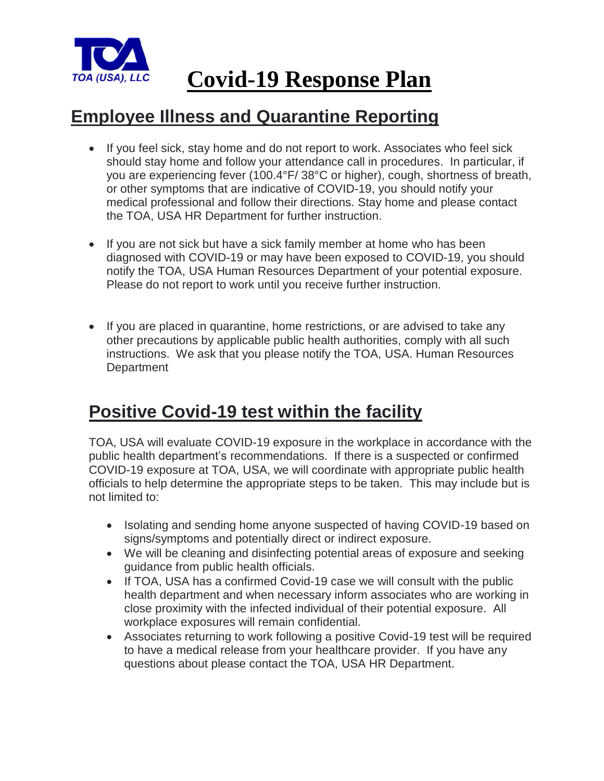

# **Covid-19 Response Plan**

#### **Employee Illness and Quarantine Reporting**

- If you feel sick, stay home and do not report to work. Associates who feel sick should stay home and follow your attendance call in procedures. In particular, if you are experiencing fever (100.4°F/ 38°C or higher), cough, shortness of breath, or other symptoms that are indicative of COVID-19, you should notify your medical professional and follow their directions. Stay home and please contact the TOA, USA HR Department for further instruction.
- If you are not sick but have a sick family member at home who has been diagnosed with COVID-19 or may have been exposed to COVID-19, you should notify the TOA, USA Human Resources Department of your potential exposure. Please do not report to work until you receive further instruction.
- If you are placed in quarantine, home restrictions, or are advised to take any other precautions by applicable public health authorities, comply with all such instructions. We ask that you please notify the TOA, USA. Human Resources **Department**

#### **Positive Covid-19 test within the facility**

TOA, USA will evaluate COVID-19 exposure in the workplace in accordance with the public health department's recommendations. If there is a suspected or confirmed COVID-19 exposure at TOA, USA, we will coordinate with appropriate public health officials to help determine the appropriate steps to be taken. This may include but is not limited to:

- Isolating and sending home anyone suspected of having COVID-19 based on signs/symptoms and potentially direct or indirect exposure.
- We will be cleaning and disinfecting potential areas of exposure and seeking guidance from public health officials.
- If TOA, USA has a confirmed Covid-19 case we will consult with the public health department and when necessary inform associates who are working in close proximity with the infected individual of their potential exposure. All workplace exposures will remain confidential.
- Associates returning to work following a positive Covid-19 test will be required to have a medical release from your healthcare provider. If you have any questions about please contact the TOA, USA HR Department.